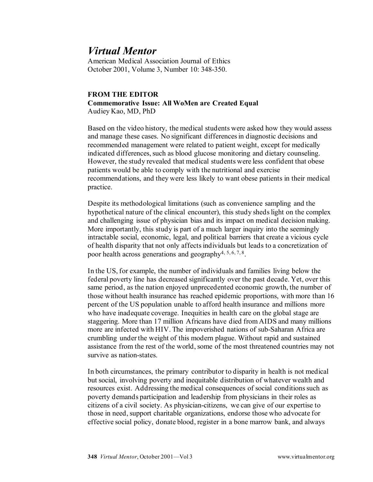## *Virtual Mentor*

American Medical Association Journal of Ethics October 2001, Volume 3, Number 10: 348-350.

## **FROM THE EDITOR Commemorative Issue: All WoMen are Created Equal** Audiey Kao, MD, PhD

Based on the video history, the medical students were asked how they would assess and manage these cases. No significant differences in diagnostic decisions and recommended management were related to patient weight, except for medically indicated differences, such as blood glucose monitoring and dietary counseling. However, the study revealed that medical students were less confident that obese patients would be able to comply with the nutritional and exercise recommendations, and they were less likely to want obese patients in their medical practice.

Despite its methodological limitations (such as convenience sampling and the hypothetical nature of the clinical encounter), this study sheds light on the complex and challenging issue of physician bias and its impact on medical decision making. More importantly, this study is part of a much larger inquiry into the seemingly intractable social, economic, legal, and political barriers that create a vicious cycle of health disparity that not only affects individuals but leads to a concretization of poor health across generations and geography<sup>4, 5, 6, 7, 8</sup>.

In the US, for example, the number of individuals and families living below the federal poverty line has decreased significantly over the past decade. Yet, over this same period, as the nation enjoyed unprecedented economic growth, the number of those without health insurance has reached epidemic proportions, with more than 16 percent of the US population unable to afford health insurance and millions more who have inadequate coverage. Inequities in health care on the global stage are staggering. More than 17 million Africans have died from AIDS and many millions more are infected with HIV. The impoverished nations of sub-Saharan Africa are crumbling under the weight of this modern plague. Without rapid and sustained assistance from the rest of the world, some of the most threatened countries may not survive as nation-states.

In both circumstances, the primary contributor to disparity in health is not medical but social, involving poverty and inequitable distribution of whatever wealth and resources exist. Addressing the medical consequences of social conditions such as poverty demands participation and leadership from physicians in their roles as citizens of a civil society. As physician-citizens, we can give of our expertise to those in need, support charitable organizations, endorse those who advocate for effective social policy, donate blood, register in a bone marrow bank, and always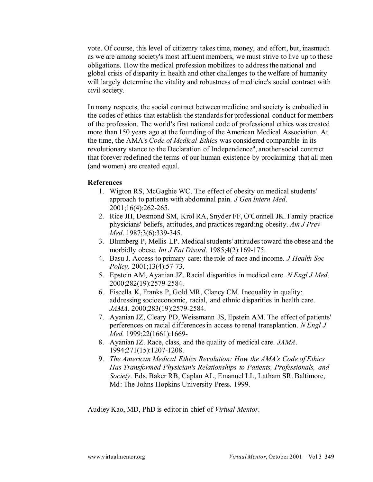vote. Of course, this level of citizenry takes time, money, and effort, but, inasmuch as we are among society's most affluent members, we must strive to live up to these obligations. How the medical profession mobilizes to address the national and global crisis of disparity in health and other challenges to the welfare of humanity will largely determine the vitality and robustness of medicine's social contract with civil society.

In many respects, the social contract between medicine and society is embodied in the codes of ethics that establish the standards for professional conduct for members of the profession. The world's first national code of professional ethics was created more than 150 years ago at the founding of the American Medical Association. At the time, the AMA's *Code of Medical Ethics* was considered comparable in its revolutionary stance to the Declaration of Independence<sup>9</sup>, another social contract that forever redefined the terms of our human existence by proclaiming that all men (and women) are created equal.

## **References**

- 1. Wigton RS, McGaghie WC. The effect of obesity on medical students' approach to patients with abdominal pain. *J Gen Intern Med*. 2001;16(4):262-265.
- 2. Rice JH, Desmond SM, Krol RA, Snyder FF, O'Connell JK. Family practice physicians' beliefs, attitudes, and practices regarding obesity. *Am J Prev Med*. 1987;3(6):339-345.
- 3. Blumberg P, Mellis LP. Medical students' attitudes toward the obese and the morbidly obese. *Int J Eat Disord*. 1985;4(2):169-175.
- 4. Basu J. Access to primary care: the role of race and income. *J Health Soc Policy*. 2001;13(4):57-73.
- 5. Epstein AM, Ayanian JZ. Racial disparities in medical care. *N Engl J Med*. 2000;282(19):2579-2584.
- 6. Fiscella K, Franks P, Gold MR, Clancy CM. Inequality in quality: addressing socioeconomic, racial, and ethnic disparities in health care. *JAMA*. 2000;283(19):2579-2584.
- 7. Ayanian JZ, Cleary PD, Weissmann JS, Epstein AM. The effect of patients' perferences on racial differences in access to renal transplantion. *N Engl J Med.* 1999;22(1661):1669-
- 8. Ayanian JZ. Race, class, and the quality of medical care. *JAMA*. 1994;271(15):1207-1208.
- 9. *The American Medical Ethics Revolution: How the AMA's Code of Ethics Has Transformed Physician's Relationships to Patients, Professionals, and Society*. Eds. Baker RB, Caplan AL, Emanuel LL, Latham SR. Baltimore, Md: The Johns Hopkins University Press. 1999.

Audiey Kao, MD, PhD is editor in chief of *Virtual Mentor*.